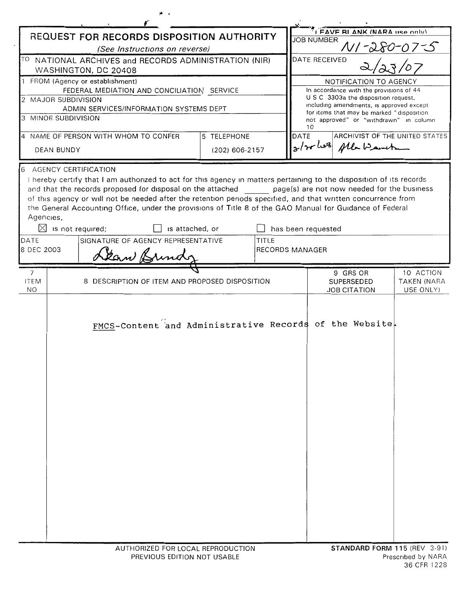| REQUEST FOR RECORDS DISPOSITION AUTHORITY                                     |                                                                                                                                                                                                                                                                                                                                                                                                                                                                                            |                 |                                     | I FAVE RI ANK (NARA LISA ONLY)<br><b>JOB NUMBER</b>                                   |                                              |
|-------------------------------------------------------------------------------|--------------------------------------------------------------------------------------------------------------------------------------------------------------------------------------------------------------------------------------------------------------------------------------------------------------------------------------------------------------------------------------------------------------------------------------------------------------------------------------------|-----------------|-------------------------------------|---------------------------------------------------------------------------------------|----------------------------------------------|
| (See Instructions on reverse)                                                 |                                                                                                                                                                                                                                                                                                                                                                                                                                                                                            |                 |                                     | N/-280-07-S                                                                           |                                              |
| TO NATIONAL ARCHIVES and RECORDS ADMINISTRATION (NIR)<br>WASHINGTON, DC 20408 |                                                                                                                                                                                                                                                                                                                                                                                                                                                                                            |                 |                                     | <b>DATE RECEIVED</b>                                                                  |                                              |
| 1 FROM (Agency or establishment)                                              |                                                                                                                                                                                                                                                                                                                                                                                                                                                                                            |                 |                                     | NOTIFICATION TO AGENCY                                                                |                                              |
| FEDERAL MEDIATION AND CONCILIATION SERVICE<br>2 MAJOR SUBDIVISION             |                                                                                                                                                                                                                                                                                                                                                                                                                                                                                            |                 |                                     | In accordance with the provisions of 44<br>U S C 3303a the disposition request,       |                                              |
| ADMIN SERVICES/INFORMATION SYSTEMS DEPT                                       |                                                                                                                                                                                                                                                                                                                                                                                                                                                                                            |                 |                                     | including amendments, is approved except<br>for items that may be marked "disposition |                                              |
|                                                                               | 3 MINOR SUBDIVISION                                                                                                                                                                                                                                                                                                                                                                                                                                                                        |                 |                                     | not approved" or "withdrawn" in column<br>10                                          |                                              |
|                                                                               | 4 NAME OF PERSON WITH WHOM TO CONFER                                                                                                                                                                                                                                                                                                                                                                                                                                                       | 5 TELEPHONE     |                                     | ARCHIVIST OF THE UNITED STATES<br>DATE                                                |                                              |
|                                                                               | <b>DEAN BUNDY</b>                                                                                                                                                                                                                                                                                                                                                                                                                                                                          |                 | g/2rles plan want<br>(202) 606-2157 |                                                                                       |                                              |
| 6<br>Agencies,                                                                | <b>AGENCY CERTIFICATION</b><br>I hereby certify that I am authorized to act for this agency in matters pertaining to the disposition of its records<br>and that the records proposed for disposal on the attached page(s) are not now needed for the business<br>of this agency or will not be needed after the retention periods specified, and that written concurrence from<br>the General Accounting Office, under the provisions of Title 8 of the GAO Manual for Guidance of Federal |                 |                                     |                                                                                       |                                              |
| ⊠                                                                             | is not required;                                                                                                                                                                                                                                                                                                                                                                                                                                                                           | is attached, or |                                     | has been requested                                                                    |                                              |
| SIGNATURE OF AGENCY REPRESENTATIVE<br>TITLE<br>DATE<br>8 DEC 2003             |                                                                                                                                                                                                                                                                                                                                                                                                                                                                                            |                 | <b>RECORDS MANAGER</b>              |                                                                                       |                                              |
|                                                                               | Lean Brinds                                                                                                                                                                                                                                                                                                                                                                                                                                                                                |                 |                                     |                                                                                       |                                              |
| $\overline{7}$<br><b>ITEM</b><br>NO.                                          | 8 DESCRIPTION OF ITEM AND PROPOSED DISPOSITION                                                                                                                                                                                                                                                                                                                                                                                                                                             |                 |                                     | 9 GRS OR<br><b>SUPERSEDED</b><br><b>JOB CITATION</b>                                  | 10 ACTION<br><b>TAKEN (NARA</b><br>USE ONLY) |
|                                                                               | FMCS-Content and Administrative Records of the Website.                                                                                                                                                                                                                                                                                                                                                                                                                                    |                 |                                     |                                                                                       |                                              |
|                                                                               | AUTHORIZED FOR LOCAL REPRODUCTION                                                                                                                                                                                                                                                                                                                                                                                                                                                          |                 |                                     | STANDARD FORM 115 (REV 3-91)                                                          |                                              |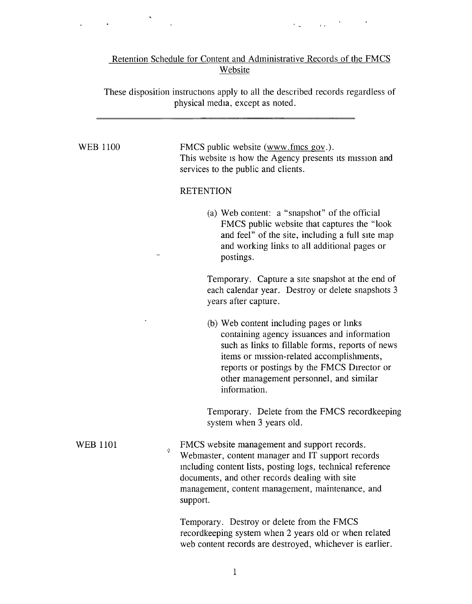## Retention Schedule for Content and Administrative Records of the FMCS Website

 $\label{eq:2} \mathcal{L}_{\frac{1}{2},\frac{1}{2}}\left(\frac{1}{2}\right) \mathcal{L}_{\frac{1}{2},\frac{1}{2}}\left(\frac{1}{2}\right) \mathcal{L}_{\frac{1}{2},\frac{1}{2}}\left(\frac{1}{2}\right) \mathcal{L}_{\frac{1}{2},\frac{1}{2}}\left(\frac{1}{2}\right)$ 

 $\tilde{\mathcal{F}}$ 

 $\sim 10^7$ 

 $\mathcal{L}^{\text{max}}(\mathcal{A})$  , where  $\mathcal{L}^{\text{max}}(\mathcal{A})$ 

These disposition instructions apply to all the described records regardless of physical media, except as noted.

| <b>WEB 1100</b>      | FMCS public website (www.fmcs gov.).<br>This website is how the Agency presents its mission and<br>services to the public and clients.                                                                                                                                                             |  |  |  |
|----------------------|----------------------------------------------------------------------------------------------------------------------------------------------------------------------------------------------------------------------------------------------------------------------------------------------------|--|--|--|
|                      | <b>RETENTION</b>                                                                                                                                                                                                                                                                                   |  |  |  |
|                      | (a) Web content: a "snapshot" of the official<br>FMCS public website that captures the "look"<br>and feel" of the site, including a full site map<br>and working links to all additional pages or<br>postings.                                                                                     |  |  |  |
|                      | Temporary. Capture a site snapshot at the end of<br>each calendar year. Destroy or delete snapshots 3<br>years after capture.                                                                                                                                                                      |  |  |  |
|                      | (b) Web content including pages or links<br>containing agency issuances and information<br>such as links to fillable forms, reports of news<br>items or mission-related accomplishments,<br>reports or postings by the FMCS Director or<br>other management personnel, and similar<br>information. |  |  |  |
|                      | Temporary. Delete from the FMCS record keeping<br>system when 3 years old.                                                                                                                                                                                                                         |  |  |  |
| <b>WEB 1101</b><br>4 | FMCS website management and support records.<br>Webmaster, content manager and IT support records<br>including content lists, posting logs, technical reference<br>documents, and other records dealing with site<br>management, content management, maintenance, and<br>support.                  |  |  |  |
|                      | Temporary. Destroy or delete from the FMCS<br>recordkeeping system when 2 years old or when related<br>web content records are destroyed, whichever is earlier.                                                                                                                                    |  |  |  |